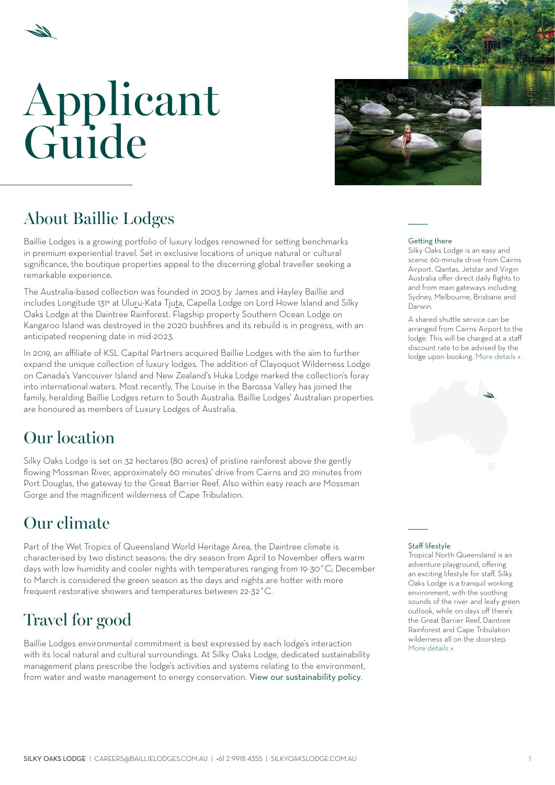# Applicant Guide



# About Baillie Lodges

Baillie Lodges is a growing portfolio of luxury lodges renowned for setting benchmarks in premium experiential travel. Set in exclusive locations of unique natural or cultural significance, the boutique properties appeal to the discerning global traveller seeking a remarkable experience.

The Australia-based collection was founded in 2003 by James and Hayley Baillie and includes Longitude 131° at Uluru-Kata Tjuta, Capella Lodge on Lord Howe Island and Silky Oaks Lodge at the Daintree Rainforest. Flagship property Southern Ocean Lodge on Kangaroo Island was destroyed in the 2020 bushfires and its rebuild is in progress, with an anticipated reopening date in mid-2023.

In 2019, an affiliate of KSL Capital Partners acquired Baillie Lodges with the aim to further expand the unique collection of luxury lodges. The addition of Clayoquot Wilderness Lodge on Canada's Vancouver Island and New Zealand's Huka Lodge marked the collection's foray into international waters. Most recently, The Louise in the Barossa Valley has joined the family, heralding Baillie Lodges return to South Australia. Baillie Lodges' Australian properties are honoured as members of Luxury Lodges of Australia.

## Our location

Silky Oaks Lodge is set on 32 hectares (80 acres) of pristine rainforest above the gently flowing Mossman River, approximately 60 minutes' drive from Cairns and 20 minutes from Port Douglas, the gateway to the Great Barrier Reef. Also within easy reach are Mossman Gorge and the magnificent wilderness of Cape Tribulation.

# Our climate

Part of the Wet Tropics of Queensland World Heritage Area, the Daintree climate is characterised by two distinct seasons: the dry season from April to November offers warm days with low humidity and cooler nights with temperatures ranging from 19-30˚C; December to March is considered the green season as the days and nights are hotter with more frequent restorative showers and temperatures between 22-32˚C.

# Travel for good

Baillie Lodges environmental commitment is best expressed by each lodge's interaction with its local natural and cultural surroundings. At Silky Oaks Lodge, dedicated sustainability management plans prescribe the lodge's activities and systems relating to the environment, from water and waste management to energy conservation. [View our sustainability policy](https://silkyoakslodge.com.au/lodge/#environment).

#### Getting there

Silky Oaks Lodge is an easy and scenic 60-minute drive from Cairns Airport. Qantas, Jetstar and Virgin Australia offer direct daily flights to and from main gateways including Sydney, Melbourne, Brisbane and Darwin.

A shared shuttle service can be arranged from Cairns Airport to the lodge. This will be charged at a staff discount rate to be advised by the lodge upon booking. [More details »](#page-4-0)



### Staff lifestyle

Tropical North Queensland is an adventure playground, offering an exciting lifestyle for staff. Silky Oaks Lodge is a tranquil working environment, with the soothing sounds of the river and leafy green outlook, while on days off there's the Great Barrier Reef, Daintree Rainforest and Cape Tribulation wilderness all on the doorstep. [More details »](#page-3-0)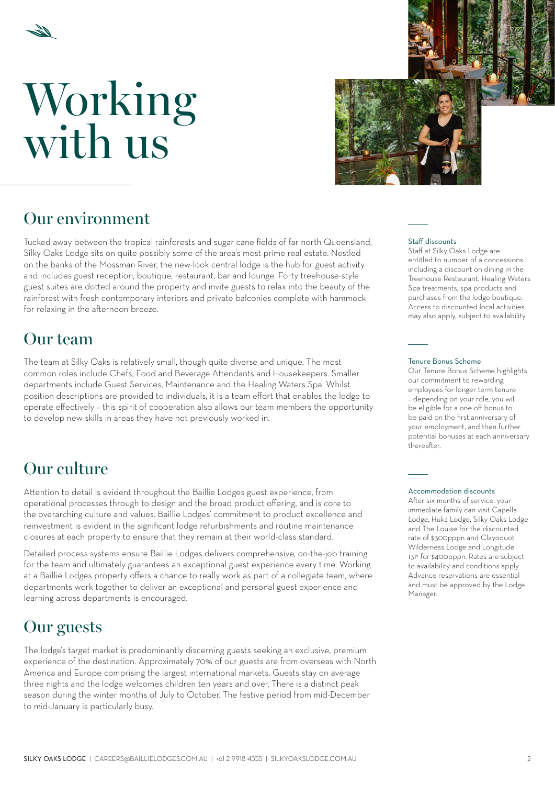



## Our environment

Tucked away between the tropical rainforests and sugar cane fields of far north Queensland, Silky Oaks Lodge sits on quite possibly some of the area's most prime real estate. Nestled on the banks of the Mossman River, the new-look central lodge is the hub for guest activity and includes guest reception, boutique, restaurant, bar and lounge. Forty treehouse-style guest suites are dotted around the property and invite guests to relax into the beauty of the rainforest with fresh contemporary interiors and private balconies complete with hammock for relaxing in the afternoon breeze.

## Our team

The team at Silky Oaks is relatively small, though quite diverse and unique. The most common roles include Chefs, Food and Beverage Attendants and Housekeepers. Smaller departments include Guest Services, Maintenance and the Healing Waters Spa. Whilst position descriptions are provided to individuals, it is a team effort that enables the lodge to operate effectively – this spirit of cooperation also allows our team members the opportunity to develop new skills in areas they have not previously worked in.

## Our culture

Attention to detail is evident throughout the Baillie Lodges guest experience, from operational processes through to design and the broad product offering, and is core to the overarching culture and values. Baillie Lodges' commitment to product excellence and reinvestment is evident in the significant lodge refurbishments and routine maintenance closures at each property to ensure that they remain at their world-class standard.

Detailed process systems ensure Baillie Lodges delivers comprehensive, on-the-job training for the team and ultimately guarantees an exceptional guest experience every time. Working at a Baillie Lodges property offers a chance to really work as part of a collegiate team, where departments work together to deliver an exceptional and personal guest experience and learning across departments is encouraged.

## Our guests

The lodge's target market is predominantly discerning guests seeking an exclusive, premium experience of the destination. Approximately 70% of our guests are from overseas with North America and Europe comprising the largest international markets. Guests stay on average three nights and the lodge welcomes children ten years and over. There is a distinct peak season during the winter months of July to October. The festive period from mid-December to mid-January is particularly busy.

#### Staff discounts

Staff at Silky Oaks Lodge are entitled to number of a concessions including a discount on dining in the Treehouse Restaurant, Healing Waters Spa treatments, spa products and purchases from the lodge boutique. Access to discounted local activities may also apply, subject to availability.

#### Tenure Bonus Scheme

Our Tenure Bonus Scheme highlights our commitment to rewarding employees for longer term tenure – depending on your role, you will be eligible for a one off bonus to be paid on the first anniversary of your employment, and then further potential bonuses at each anniversary thereafter.

#### Accommodation discounts

After six months of service, your immediate family can visit Capella Lodge, Huka Lodge, Silky Oaks Lodge and The Louise for the discounted rate of \$300pppn and Clayoquot Wilderness Lodge and Longitude 131° for \$400pppn. Rates are subject to availability and conditions apply. Advance reservations are essential and must be approved by the Lodge Manager.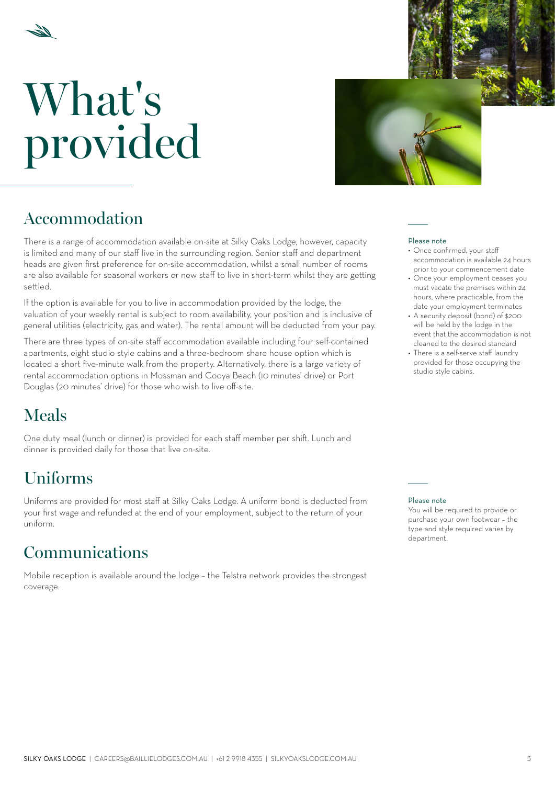

# What's provided



## Accommodation

There is a range of accommodation available on-site at Silky Oaks Lodge, however, capacity is limited and many of our staff live in the surrounding region. Senior staff and department heads are given first preference for on-site accommodation, whilst a small number of rooms are also available for seasonal workers or new staff to live in short-term whilst they are getting settled.

If the option is available for you to live in accommodation provided by the lodge, the valuation of your weekly rental is subject to room availability, your position and is inclusive of general utilities (electricity, gas and water). The rental amount will be deducted from your pay.

There are three types of on-site staff accommodation available including four self-contained apartments, eight studio style cabins and a three-bedroom share house option which is located a short five-minute walk from the property. Alternatively, there is a large variety of rental accommodation options in Mossman and Cooya Beach (10 minutes' drive) or Port Douglas (20 minutes' drive) for those who wish to live off-site.

# Meals

One duty meal (lunch or dinner) is provided for each staff member per shift. Lunch and dinner is provided daily for those that live on-site.

# Uniforms

Uniforms are provided for most staff at Silky Oaks Lodge. A uniform bond is deducted from your first wage and refunded at the end of your employment, subject to the return of your uniform.

## Communications

Mobile reception is available around the lodge – the Telstra network provides the strongest coverage.

#### Please note

- Once confirmed, your staff accommodation is available 24 hours prior to your commencement date
- Once your employment ceases you must vacate the premises within 24 hours, where practicable, from the date your employment terminates
- A security deposit (bond) of \$200 will be held by the lodge in the event that the accommodation is not cleaned to the desired standard
- There is a self-serve staff laundry provided for those occupying the studio style cabins.

#### Please note

You will be required to provide or purchase your own footwear – the type and style required varies by department.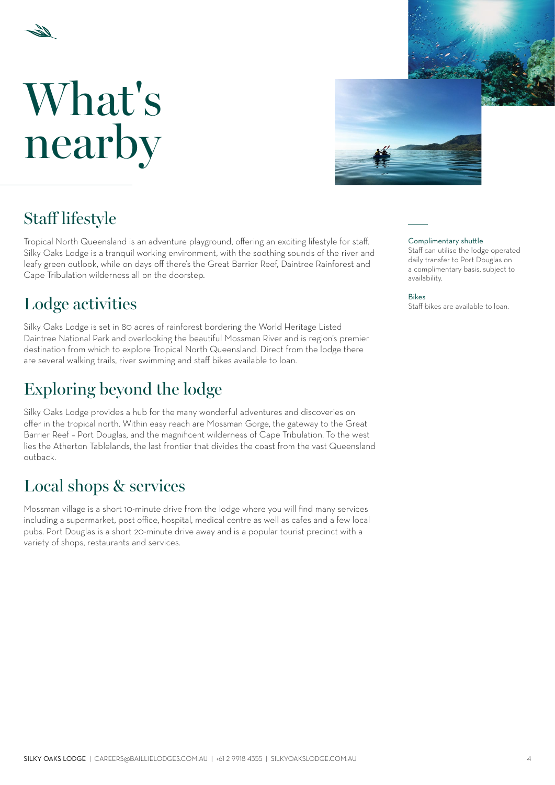<span id="page-3-0"></span>

# What's nearby



# Staff lifestyle

Tropical North Queensland is an adventure playground, offering an exciting lifestyle for staff. Silky Oaks Lodge is a tranquil working environment, with the soothing sounds of the river and leafy green outlook, while on days off there's the Great Barrier Reef, Daintree Rainforest and Cape Tribulation wilderness all on the doorstep.

# **Lodge activities** Staff bikes are available to loan.

Silky Oaks Lodge is set in 80 acres of rainforest bordering the World Heritage Listed Daintree National Park and overlooking the beautiful Mossman River and is region's premier destination from which to explore Tropical North Queensland. Direct from the lodge there are several walking trails, river swimming and staff bikes available to loan.

# Exploring beyond the lodge

Silky Oaks Lodge provides a hub for the many wonderful adventures and discoveries on offer in the tropical north. Within easy reach are Mossman Gorge, the gateway to the Great Barrier Reef – Port Douglas, and the magnificent wilderness of Cape Tribulation. To the west lies the Atherton Tablelands, the last frontier that divides the coast from the vast Queensland outback.

# Local shops & services

Mossman village is a short 10-minute drive from the lodge where you will find many services including a supermarket, post office, hospital, medical centre as well as cafes and a few local pubs. Port Douglas is a short 20-minute drive away and is a popular tourist precinct with a variety of shops, restaurants and services.

### Complimentary shuttle

Staff can utilise the lodge operated daily transfer to Port Douglas on a complimentary basis, subject to availability.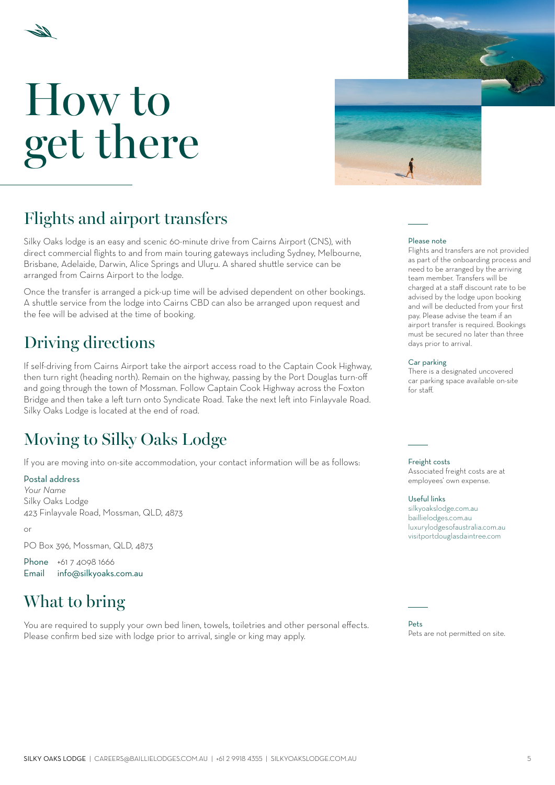<span id="page-4-0"></span>



## Flights and airport transfers

Silky Oaks lodge is an easy and scenic 60-minute drive from Cairns Airport (CNS), with direct commercial flights to and from main touring gateways including Sydney, Melbourne, Brisbane, Adelaide, Darwin, Alice Springs and Uluru. A shared shuttle service can be arranged from Cairns Airport to the lodge.

Once the transfer is arranged a pick-up time will be advised dependent on other bookings. A shuttle service from the lodge into Cairns CBD can also be arranged upon request and the fee will be advised at the time of booking.

## Driving directions

If self-driving from Cairns Airport take the airport access road to the Captain Cook Highway, then turn right (heading north). Remain on the highway, passing by the Port Douglas turn-off and going through the town of Mossman. Follow Captain Cook Highway across the Foxton Bridge and then take a left turn onto Syndicate Road. Take the next left into Finlayvale Road. Silky Oaks Lodge is located at the end of road.

# Moving to Silky Oaks Lodge

If you are moving into on-site accommodation, your contact information will be as follows:

### Postal address

*Your Name* Silky Oaks Lodge 423 Finlayvale Road, Mossman, QLD, 4873

or

PO Box 396, Mossman, QLD, 4873

Phone +61 7 4098 1666 Email [info@silkyoaks.com.au](mailto:info%40silkyoaks.com.au?subject=)

## What to bring

You are required to supply your own bed linen, towels, toiletries and other personal effects. Please confirm bed size with lodge prior to arrival, single or king may apply.

#### Please note

Flights and transfers are not provided as part of the onboarding process and need to be arranged by the arriving team member. Transfers will be charged at a staff discount rate to be advised by the lodge upon booking and will be deducted from your first pay. Please advise the team if an airport transfer is required. Bookings must be secured no later than three days prior to arrival.

### Car parking

There is a designated uncovered car parking space available on-site for staff.

Freight costs

Associated freight costs are at employees' own expense.

#### Useful links

silkyoakslodge.com.au [baillielodges.com.au](https://baillielodges.com.au) [luxurylodgesofaustralia.com.au](https://luxurylodgesofaustralia.com.au) [visitportdouglasdaintree.com](http://visitportdouglasdaintree.com)

 $D$ ets Pets are not permitted on site.